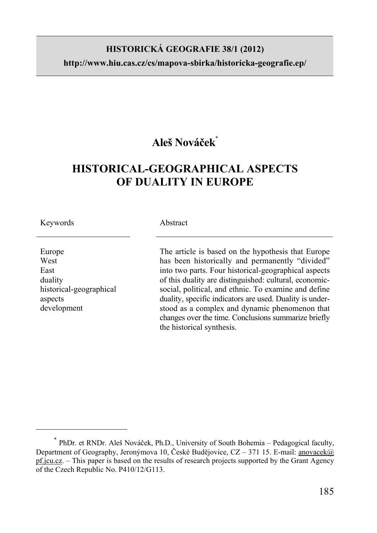## **HISTORICKÁ GEOGRAFIE 38/1 (2012)**

**http://www.hiu.cas.cz/cs/mapova-sbirka/historicka-geografie.ep/** 

# **Aleš Nováček**\*

# **HISTORICAL-GEOGRAPHICAL ASPECTS OF DUALITY IN EUROPE**

Keywords

 $\overline{a}$ 

Europe West East duality historical-geographical aspects development

#### Abstract

The article is based on the hypothesis that Europe has been historically and permanently "divided" into two parts. Four historical-geographical aspects of this duality are distinguished: cultural, economicsocial, political, and ethnic. To examine and define duality, specific indicators are used. Duality is understood as a complex and dynamic phenomenon that changes over the time. Conclusions summarize briefly the historical synthesis.

<sup>\*</sup> PhDr. et RNDr. Aleš Nováček, Ph.D., University of South Bohemia – Pedagogical faculty, Department of Geography, Jeronýmova 10, České Budějovice, CZ – 371 15. E-mail: anovacek@ pf.jcu.cz. – This paper is based on the results of research projects supported by the Grant Agency of the Czech Republic No. P410/12/G113.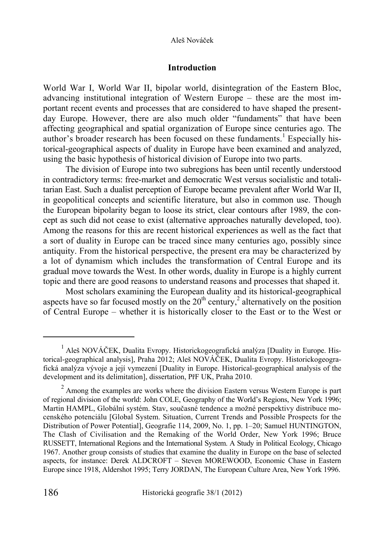#### **Introduction**

World War I, World War II, bipolar world, disintegration of the Eastern Bloc, advancing institutional integration of Western Europe – these are the most important recent events and processes that are considered to have shaped the presentday Europe. However, there are also much older "fundaments" that have been affecting geographical and spatial organization of Europe since centuries ago. The author's broader research has been focused on these fundaments.<sup>1</sup> Especially historical-geographical aspects of duality in Europe have been examined and analyzed, using the basic hypothesis of historical division of Europe into two parts.

The division of Europe into two subregions has been until recently understood in contradictory terms: free-market and democratic West versus socialistic and totalitarian East. Such a dualist perception of Europe became prevalent after World War II, in geopolitical concepts and scientific literature, but also in common use. Though the European bipolarity began to loose its strict, clear contours after 1989, the concept as such did not cease to exist (alternative approaches naturally developed, too). Among the reasons for this are recent historical experiences as well as the fact that a sort of duality in Europe can be traced since many centuries ago, possibly since antiquity. From the historical perspective, the present era may be characterized by a lot of dynamism which includes the transformation of Central Europe and its gradual move towards the West. In other words, duality in Europe is a highly current topic and there are good reasons to understand reasons and processes that shaped it.

Most scholars examining the European duality and its historical-geographical aspects have so far focused mostly on the  $20<sup>th</sup>$  century,<sup>2</sup> alternatively on the position of Central Europe – whether it is historically closer to the East or to the West or

<sup>&</sup>lt;sup>1</sup> Aleš NOVÁČEK, Dualita Evropy. Historickogeografická analýza [Duality in Europe. Historical-geographical analysis], Praha 2012; Aleš NOVÁČEK, Dualita Evropy. Historickogeografická analýza vývoje a její vymezení [Duality in Europe. Historical-geographical analysis of the development and its delimitation], dissertation, PřF UK, Praha 2010.

 $2$  Among the examples are works where the division Eastern versus Western Europe is part of regional division of the world: John COLE, Geography of the World's Regions, New York 1996; Martin HAMPL, Globální systém. Stav, současné tendence a možné perspektivy distribuce mocenského potenciálu [Global System. Situation, Current Trends and Possible Prospects for the Distribution of Power Potential], Geografie 114, 2009, No. 1, pp. 1–20; Samuel HUNTINGTON, The Clash of Civilisation and the Remaking of the World Order, New York 1996; Bruce RUSSETT, International Regions and the International System. A Study in Political Ecology, Chicago 1967. Another group consists of studies that examine the duality in Europe on the base of selected aspects, for instance: Derek ALDCROFT – Steven MOREWOOD, Economic Chase in Eastern Europe since 1918, Aldershot 1995; Terry JORDAN, The European Culture Area, New York 1996.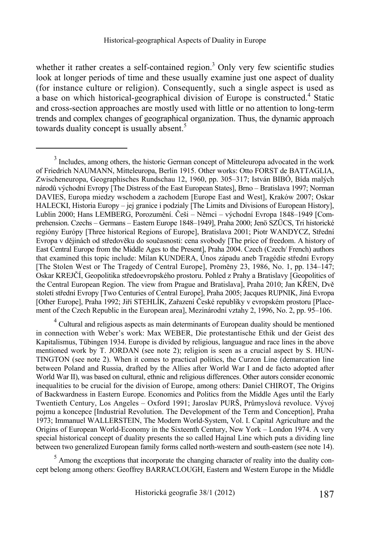whether it rather creates a self-contained region.<sup>3</sup> Only very few scientific studies look at longer periods of time and these usually examine just one aspect of duality (for instance culture or religion). Consequently, such a single aspect is used as a base on which historical-geographical division of Europe is constructed.<sup>4</sup> Static and cross-section approaches are mostly used with little or no attention to long-term trends and complex changes of geographical organization. Thus, the dynamic approach towards duality concept is usually absent.<sup>5</sup>

l

<sup>&</sup>lt;sup>3</sup> Includes, among others, the historic German concept of Mitteleuropa advocated in the work of Friedrich NAUMANN, Mitteleuropa, Berlin 1915. Other works: Otto FORST de BATTAGLIA, Zwischeneuropa, Geographisches Rundschau 12, 1960, pp. 305–317; István BIBÓ, Bída malých národů východní Evropy [The Distress of the East European States], Brno – Bratislava 1997; Norman DAVIES, Europa miedzy wschodem a zachodem [Europe East and West], Kraków 2007; Oskar HALECKI, Historia Europy – jej granice i podzialy [The Limits and Divisions of European History], Lublin 2000; Hans LEMBERG, Porozumění. Češi – Němci – východní Evropa 1848–1949 [Comprehension. Czechs – Germans – Eastern Europe 1848–1949], Praha 2000; Jenö SZÜCS, Tri historické regióny Európy [Three historical Regions of Europe], Bratislava 2001; Piotr WANDYCZ, Střední Evropa v dějinách od středověku do současnosti: cena svobody [The price of freedom. A history of East Central Europe from the Middle Ages to the Present], Praha 2004. Czech (Czech/ French) authors that examined this topic include: Milan KUNDERA, Únos západu aneb Tragédie střední Evropy [The Stolen West or The Tragedy of Central Europe], Proměny 23, 1986, No. 1, pp. 134–147; Oskar KREJČÍ, Geopolitika středoevropského prostoru. Pohled z Prahy a Bratislavy [Geopolitics of the Central European Region. The view from Prague and Bratislava], Praha 2010; Jan KŘEN, Dvě století střední Evropy [Two Centuries of Central Europe], Praha 2005; Jacques RUPNIK, Jiná Evropa [Other Europe], Praha 1992; Jiří STEHLÍK, Zařazení České republiky v evropském prostoru [Placement of the Czech Republic in the European area], Mezinárodní vztahy 2, 1996, No. 2, pp. 95–106.

 $4$  Cultural and religious aspects as main determinants of European duality should be mentioned in connection with Weber's work: Max WEBER, Die protestantische Ethik und der Geist des Kapitalismus, Tübingen 1934. Europe is divided by religious, languague and race lines in the above mentioned work by T. JORDAN (see note 2); religion is seen as a crucial aspect by S. HUN-TINGTON (see note 2). When it comes to practical politics, the Curzon Line (demarcation line between Poland and Russia, drafted by the Allies after World War I and de facto adopted after World War II), was based on cultural, ethnic and religious differences. Other autors consider economic inequalities to be crucial for the division of Europe, among others: Daniel CHIROT, The Origins of Backwardness in Eastern Europe. Economics and Politics from the Middle Ages until the Early Twentieth Century, Los Angeles – Oxford 1991; Jaroslav PURŠ, Průmyslová revoluce. Vývoj pojmu a koncepce [Industrial Revolution. The Development of the Term and Conception], Praha 1973; Immanuel WALLERSTEIN, The Modern World-System, Vol. I. Capital Agriculture and the Origins of European World-Economy in the Sixteenth Century, New York – London 1974. A very special historical concept of duality presents the so called Hajnal Line which puts a dividing line between two generalized European family forms called north-western and south-eastern (see note 14).

 $<sup>5</sup>$  Among the exceptions that incorporate the changing character of reality into the duality con-</sup> cept belong among others: Geoffrey BARRACLOUGH, Eastern and Western Europe in the Middle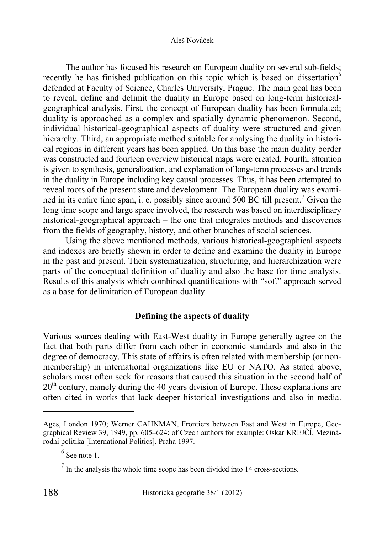The author has focused his research on European duality on several sub-fields; recently he has finished publication on this topic which is based on dissertation<sup>6</sup> defended at Faculty of Science, Charles University, Prague. The main goal has been to reveal, define and delimit the duality in Europe based on long-term historicalgeographical analysis. First, the concept of European duality has been formulated; duality is approached as a complex and spatially dynamic phenomenon. Second, individual historical-geographical aspects of duality were structured and given hierarchy. Third, an appropriate method suitable for analysing the duality in historical regions in different years has been applied. On this base the main duality border was constructed and fourteen overview historical maps were created. Fourth, attention is given to synthesis, generalization, and explanation of long-term processes and trends in the duality in Europe including key causal processes. Thus, it has been attempted to reveal roots of the present state and development. The European duality was examined in its entire time span, i. e. possibly since around 500 BC till present.<sup>7</sup> Given the long time scope and large space involved, the research was based on interdisciplinary historical-geographical approach – the one that integrates methods and discoveries from the fields of geography, history, and other branches of social sciences.

Using the above mentioned methods, various historical-geographical aspects and indexes are briefly shown in order to define and examine the duality in Europe in the past and present. Their systematization, structuring, and hierarchization were parts of the conceptual definition of duality and also the base for time analysis. Results of this analysis which combined quantifications with "soft" approach served as a base for delimitation of European duality.

## **Defining the aspects of duality**

Various sources dealing with East-West duality in Europe generally agree on the fact that both parts differ from each other in economic standards and also in the degree of democracy. This state of affairs is often related with membership (or nonmembership) in international organizations like EU or NATO. As stated above, scholars most often seek for reasons that caused this situation in the second half of  $20<sup>th</sup>$  century, namely during the 40 years division of Europe. These explanations are often cited in works that lack deeper historical investigations and also in media.

Ages, London 1970; Werner CAHNMAN, Frontiers between East and West in Europe, Geographical Review 39, 1949, pp. 605–624; of Czech authors for example: Oskar KREJČÍ, Mezinárodní politika [International Politics], Praha 1997.

 $<sup>6</sup>$  See note 1.</sup>

 $<sup>7</sup>$  In the analysis the whole time scope has been divided into 14 cross-sections.</sup>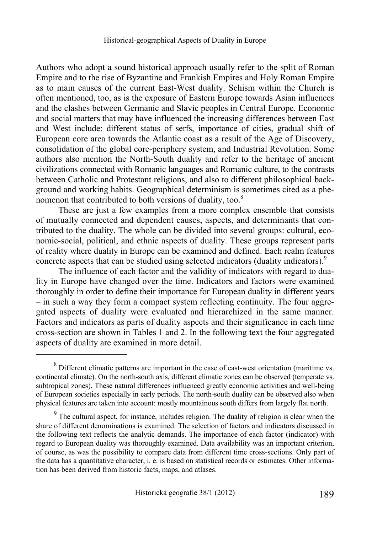Authors who adopt a sound historical approach usually refer to the split of Roman Empire and to the rise of Byzantine and Frankish Empires and Holy Roman Empire as to main causes of the current East-West duality. Schism within the Church is often mentioned, too, as is the exposure of Eastern Europe towards Asian influences and the clashes between Germanic and Slavic peoples in Central Europe. Economic and social matters that may have influenced the increasing differences between East and West include: different status of serfs, importance of cities, gradual shift of European core area towards the Atlantic coast as a result of the Age of Discovery, consolidation of the global core-periphery system, and Industrial Revolution. Some authors also mention the North-South duality and refer to the heritage of ancient civilizations connected with Romanic languages and Romanic culture, to the contrasts between Catholic and Protestant religions, and also to different philosophical background and working habits. Geographical determinism is sometimes cited as a phenomenon that contributed to both versions of duality, too.<sup>8</sup>

These are just a few examples from a more complex ensemble that consists of mutually connected and dependent causes, aspects, and determinants that contributed to the duality. The whole can be divided into several groups: cultural, economic-social, political, and ethnic aspects of duality. These groups represent parts of reality where duality in Europe can be examined and defined. Each realm features concrete aspects that can be studied using selected indicators (duality indicators).<sup>9</sup>

The influence of each factor and the validity of indicators with regard to duality in Europe have changed over the time. Indicators and factors were examined thoroughly in order to define their importance for European duality in different years – in such a way they form a compact system reflecting continuity. The four aggregated aspects of duality were evaluated and hierarchized in the same manner. Factors and indicators as parts of duality aspects and their significance in each time cross-section are shown in Tables 1 and 2. In the following text the four aggregated aspects of duality are examined in more detail.

 $8$  Different climatic patterns are important in the case of east-west orientation (maritime vs. continental climate). On the north-south axis, different climatic zones can be observed (temperate vs. subtropical zones). These natural differences influenced greatly economic activities and well-being of European societies especially in early periods. The north-south duality can be observed also when physical features are taken into account: mostly mountainous south differs from largely flat north.

 $9<sup>9</sup>$  The cultural aspect, for instance, includes religion. The duality of religion is clear when the share of different denominations is examined. The selection of factors and indicators discussed in the following text reflects the analytic demands. The importance of each factor (indicator) with regard to European duality was thoroughly examined. Data availability was an important criterion, of course, as was the possibility to compare data from different time cross-sections. Only part of the data has a quantitative character, i. e. is based on statistical records or estimates. Other information has been derived from historic facts, maps, and atlases.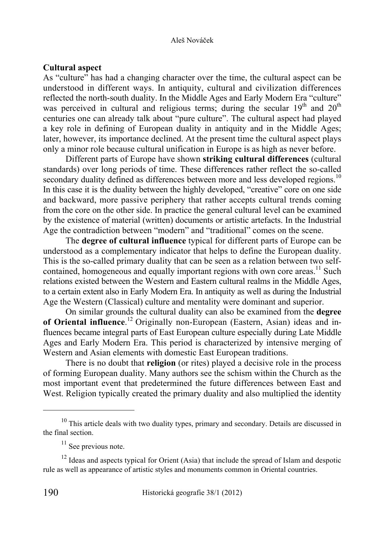### **Cultural aspect**

As "culture" has had a changing character over the time, the cultural aspect can be understood in different ways. In antiquity, cultural and civilization differences reflected the north-south duality. In the Middle Ages and Early Modern Era "culture" was perceived in cultural and religious terms; during the secular  $19<sup>th</sup>$  and  $20<sup>th</sup>$ centuries one can already talk about "pure culture". The cultural aspect had played a key role in defining of European duality in antiquity and in the Middle Ages; later, however, its importance declined. At the present time the cultural aspect plays only a minor role because cultural unification in Europe is as high as never before.

Different parts of Europe have shown **striking cultural differences** (cultural standards) over long periods of time. These differences rather reflect the so-called secondary duality defined as differences between more and less developed regions.<sup>10</sup> In this case it is the duality between the highly developed, "creative" core on one side and backward, more passive periphery that rather accepts cultural trends coming from the core on the other side. In practice the general cultural level can be examined by the existence of material (written) documents or artistic artefacts. In the Industrial Age the contradiction between "modern" and "traditional" comes on the scene.

The **degree of cultural influence** typical for different parts of Europe can be understood as a complementary indicator that helps to define the European duality. This is the so-called primary duality that can be seen as a relation between two selfcontained, homogeneous and equally important regions with own core areas.<sup>11</sup> Such relations existed between the Western and Eastern cultural realms in the Middle Ages, to a certain extent also in Early Modern Era. In antiquity as well as during the Industrial Age the Western (Classical) culture and mentality were dominant and superior.

On similar grounds the cultural duality can also be examined from the **degree of Oriental influence**. 12 Originally non-European (Eastern, Asian) ideas and influences became integral parts of East European culture especially during Late Middle Ages and Early Modern Era. This period is characterized by intensive merging of Western and Asian elements with domestic East European traditions.

There is no doubt that **religion** (or rites) played a decisive role in the process of forming European duality. Many authors see the schism within the Church as the most important event that predetermined the future differences between East and West. Religion typically created the primary duality and also multiplied the identity

<sup>&</sup>lt;sup>10</sup> This article deals with two duality types, primary and secondary. Details are discussed in the final section.

<sup>&</sup>lt;sup>11</sup> See previous note.

 $12$  Ideas and aspects typical for Orient (Asia) that include the spread of Islam and despotic rule as well as appearance of artistic styles and monuments common in Oriental countries.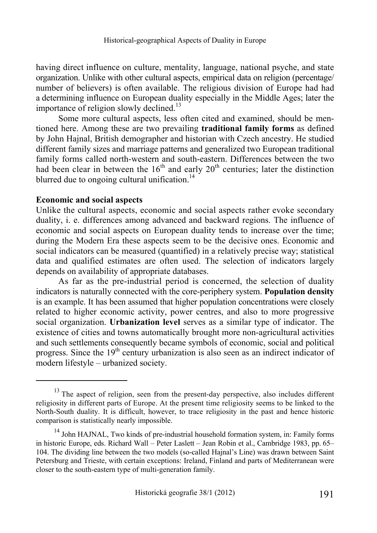having direct influence on culture, mentality, language, national psyche, and state organization. Unlike with other cultural aspects, empirical data on religion (percentage/ number of believers) is often available. The religious division of Europe had had a determining influence on European duality especially in the Middle Ages; later the importance of religion slowly declined.<sup>13</sup>

Some more cultural aspects, less often cited and examined, should be mentioned here. Among these are two prevailing **traditional family forms** as defined by John Hajnal, British demographer and historian with Czech ancestry. He studied different family sizes and marriage patterns and generalized two European traditional family forms called north-western and south-eastern. Differences between the two had been clear in between the  $16<sup>th</sup>$  and early  $20<sup>th</sup>$  centuries; later the distinction blurred due to ongoing cultural unification. $^{14}$ 

## **Economic and social aspects**

 $\overline{a}$ 

Unlike the cultural aspects, economic and social aspects rather evoke secondary duality, i. e. differences among advanced and backward regions. The influence of economic and social aspects on European duality tends to increase over the time; during the Modern Era these aspects seem to be the decisive ones. Economic and social indicators can be measured (quantified) in a relatively precise way; statistical data and qualified estimates are often used. The selection of indicators largely depends on availability of appropriate databases.

As far as the pre-industrial period is concerned, the selection of duality indicators is naturally connected with the core-periphery system. **Population density** is an example. It has been assumed that higher population concentrations were closely related to higher economic activity, power centres, and also to more progressive social organization. **Urbanization level** serves as a similar type of indicator. The existence of cities and towns automatically brought more non-agricultural activities and such settlements consequently became symbols of economic, social and political progress. Since the  $19<sup>th</sup>$  century urbanization is also seen as an indirect indicator of modern lifestyle – urbanized society.

 $13$  The aspect of religion, seen from the present-day perspective, also includes different religiosity in different parts of Europe. At the present time religiosity seems to be linked to the North-South duality. It is difficult, however, to trace religiosity in the past and hence historic comparison is statistically nearly impossible.

<sup>&</sup>lt;sup>14</sup> John HAJNAL, Two kinds of pre-industrial household formation system, in: Family forms in historic Europe, eds. Richard Wall – Peter Laslett – Jean Robin et al., Cambridge 1983, pp. 65– 104. The dividing line between the two models (so-called Hajnal's Line) was drawn between Saint Petersburg and Trieste, with certain exceptions: Ireland, Finland and parts of Mediterranean were closer to the south-eastern type of multi-generation family.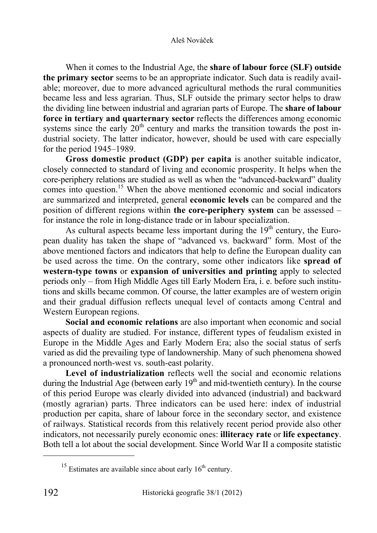When it comes to the Industrial Age, the **share of labour force (SLF) outside the primary sector** seems to be an appropriate indicator. Such data is readily available; moreover, due to more advanced agricultural methods the rural communities became less and less agrarian. Thus, SLF outside the primary sector helps to draw the dividing line between industrial and agrarian parts of Europe. The **share of labour force in tertiary and quarternary sector** reflects the differences among economic systems since the early  $20<sup>th</sup>$  century and marks the transition towards the post industrial society. The latter indicator, however, should be used with care especially for the period 1945–1989.

**Gross domestic product (GDP) per capita** is another suitable indicator, closely connected to standard of living and economic prosperity. It helps when the core-periphery relations are studied as well as when the "advanced-backward" duality comes into question.15 When the above mentioned economic and social indicators are summarized and interpreted, general **economic levels** can be compared and the position of different regions within **the core-periphery system** can be assessed – for instance the role in long-distance trade or in labour specialization.

As cultural aspects became less important during the  $19<sup>th</sup>$  century, the European duality has taken the shape of "advanced vs. backward" form. Most of the above mentioned factors and indicators that help to define the European duality can be used across the time. On the contrary, some other indicators like **spread of western-type towns** or **expansion of universities and printing** apply to selected periods only – from High Middle Ages till Early Modern Era, i. e. before such institutions and skills became common. Of course, the latter examples are of western origin and their gradual diffusion reflects unequal level of contacts among Central and Western European regions.

**Social and economic relations** are also important when economic and social aspects of duality are studied. For instance, different types of feudalism existed in Europe in the Middle Ages and Early Modern Era; also the social status of serfs varied as did the prevailing type of landownership. Many of such phenomena showed a pronounced north-west vs. south-east polarity.

Level of industrialization reflects well the social and economic relations during the Industrial Age (between early  $19<sup>th</sup>$  and mid-twentieth century). In the course of this period Europe was clearly divided into advanced (industrial) and backward (mostly agrarian) parts. Three indicators can be used here: index of industrial production per capita, share of labour force in the secondary sector, and existence of railways. Statistical records from this relatively recent period provide also other indicators, not necessarily purely economic ones: **illiteracy rate** or **life expectancy**. Both tell a lot about the social development. Since World War II a composite statistic

l

 $15$  Estimates are available since about early  $16<sup>th</sup>$  century.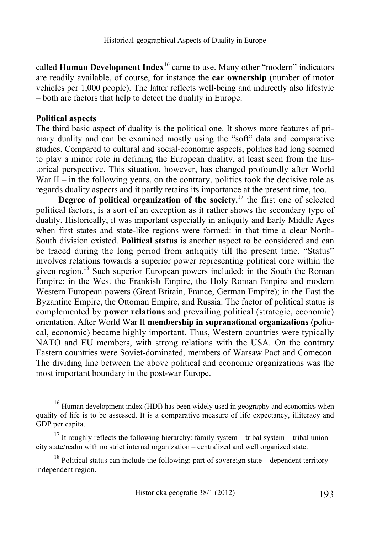called **Human Development Index**16 came to use. Many other "modern" indicators are readily available, of course, for instance the **car ownership** (number of motor vehicles per 1,000 people). The latter reflects well-being and indirectly also lifestyle – both are factors that help to detect the duality in Europe.

## **Political aspects**

 $\overline{a}$ 

The third basic aspect of duality is the political one. It shows more features of primary duality and can be examined mostly using the "soft" data and comparative studies. Compared to cultural and social-economic aspects, politics had long seemed to play a minor role in defining the European duality, at least seen from the historical perspective. This situation, however, has changed profoundly after World War II – in the following years, on the contrary, politics took the decisive role as regards duality aspects and it partly retains its importance at the present time, too.

**Degree of political organization of the society**,<sup>17</sup> the first one of selected political factors, is a sort of an exception as it rather shows the secondary type of duality. Historically, it was important especially in antiquity and Early Middle Ages when first states and state-like regions were formed: in that time a clear North-South division existed. **Political status** is another aspect to be considered and can be traced during the long period from antiquity till the present time. "Status" involves relations towards a superior power representing political core within the given region.18 Such superior European powers included: in the South the Roman Empire; in the West the Frankish Empire, the Holy Roman Empire and modern Western European powers (Great Britain, France, German Empire); in the East the Byzantine Empire, the Ottoman Empire, and Russia. The factor of political status is complemented by **power relations** and prevailing political (strategic, economic) orientation. After World War II **membership in supranational organizations** (political, economic) became highly important. Thus, Western countries were typically NATO and EU members, with strong relations with the USA. On the contrary Eastern countries were Soviet-dominated, members of Warsaw Pact and Comecon. The dividing line between the above political and economic organizations was the most important boundary in the post-war Europe.

<sup>&</sup>lt;sup>16</sup> Human development index (HDI) has been widely used in geography and economics when quality of life is to be assessed. It is a comparative measure of life expectancy, illiteracy and GDP per capita.

<sup>&</sup>lt;sup>17</sup> It roughly reflects the following hierarchy: family system – tribal system – tribal union – city state/realm with no strict internal organization – centralized and well organized state.

<sup>&</sup>lt;sup>18</sup> Political status can include the following: part of sovereign state – dependent territory – independent region.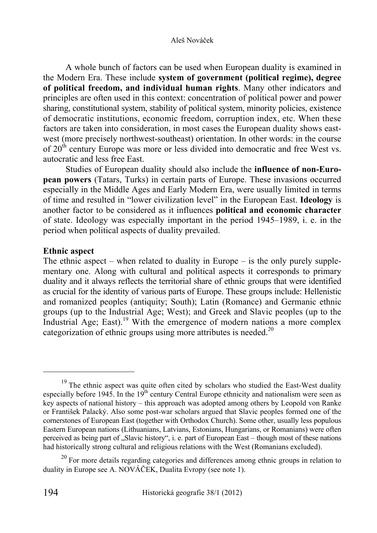A whole bunch of factors can be used when European duality is examined in the Modern Era. These include **system of government (political regime), degree of political freedom, and individual human rights**. Many other indicators and principles are often used in this context: concentration of political power and power sharing, constitutional system, stability of political system, minority policies, existence of democratic institutions, economic freedom, corruption index, etc. When these factors are taken into consideration, in most cases the European duality shows eastwest (more precisely northwest-southeast) orientation. In other words: in the course of  $20<sup>th</sup>$  century Europe was more or less divided into democratic and free West vs. autocratic and less free East.

Studies of European duality should also include the **influence of non-European powers** (Tatars, Turks) in certain parts of Europe. These invasions occurred especially in the Middle Ages and Early Modern Era, were usually limited in terms of time and resulted in "lower civilization level" in the European East. **Ideology** is another factor to be considered as it influences **political and economic character** of state. Ideology was especially important in the period 1945–1989, i. e. in the period when political aspects of duality prevailed.

## **Ethnic aspect**

The ethnic aspect – when related to duality in Europe – is the only purely supplementary one. Along with cultural and political aspects it corresponds to primary duality and it always reflects the territorial share of ethnic groups that were identified as crucial for the identity of various parts of Europe. These groups include: Hellenistic and romanized peoples (antiquity; South); Latin (Romance) and Germanic ethnic groups (up to the Industrial Age; West); and Greek and Slavic peoples (up to the Industrial Age; East).<sup>19</sup> With the emergence of modern nations a more complex categorization of ethnic groups using more attributes is needed.<sup>20</sup>

 $19$  The ethnic aspect was quite often cited by scholars who studied the East-West duality especially before 1945. In the  $19<sup>th</sup>$  century Central Europe ethnicity and nationalism were seen as key aspects of national history – this approach was adopted among others by Leopold von Ranke or František Palacký. Also some post-war scholars argued that Slavic peoples formed one of the cornerstones of European East (together with Orthodox Church). Some other, usually less populous Eastern European nations (Lithuanians, Latvians, Estonians, Hungarians, or Romanians) were often perceived as being part of "Slavic history", i. e. part of European East – though most of these nations had historically strong cultural and religious relations with the West (Romanians excluded).

<sup>&</sup>lt;sup>20</sup> For more details regarding categories and differences among ethnic groups in relation to duality in Europe see A. NOVÁČEK, Dualita Evropy (see note 1).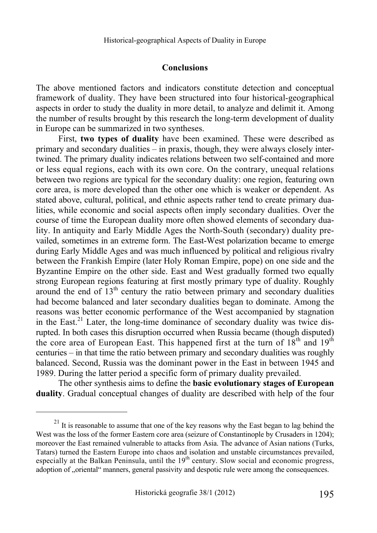### **Conclusions**

The above mentioned factors and indicators constitute detection and conceptual framework of duality. They have been structured into four historical-geographical aspects in order to study the duality in more detail, to analyze and delimit it. Among the number of results brought by this research the long-term development of duality in Europe can be summarized in two syntheses.

First, **two types of duality** have been examined. These were described as primary and secondary dualities – in praxis, though, they were always closely intertwined. The primary duality indicates relations between two self-contained and more or less equal regions, each with its own core. On the contrary, unequal relations between two regions are typical for the secondary duality: one region, featuring own core area, is more developed than the other one which is weaker or dependent. As stated above, cultural, political, and ethnic aspects rather tend to create primary dualities, while economic and social aspects often imply secondary dualities. Over the course of time the European duality more often showed elements of secondary duality. In antiquity and Early Middle Ages the North-South (secondary) duality prevailed, sometimes in an extreme form. The East-West polarization became to emerge during Early Middle Ages and was much influenced by political and religious rivalry between the Frankish Empire (later Holy Roman Empire, pope) on one side and the Byzantine Empire on the other side. East and West gradually formed two equally strong European regions featuring at first mostly primary type of duality. Roughly around the end of  $13<sup>th</sup>$  century the ratio between primary and secondary dualities had become balanced and later secondary dualities began to dominate. Among the reasons was better economic performance of the West accompanied by stagnation in the East.<sup>21</sup> Later, the long-time dominance of secondary duality was twice disrupted. In both cases this disruption occurred when Russia became (though disputed) the core area of European East. This happened first at the turn of  $18<sup>th</sup>$  and  $19<sup>th</sup>$ centuries – in that time the ratio between primary and secondary dualities was roughly balanced. Second, Russia was the dominant power in the East in between 1945 and 1989. During the latter period a specific form of primary duality prevailed.

The other synthesis aims to define the **basic evolutionary stages of European duality**. Gradual conceptual changes of duality are described with help of the four

 $21$  It is reasonable to assume that one of the key reasons why the East began to lag behind the West was the loss of the former Eastern core area (seizure of Constantinople by Crusaders in 1204); moreover the East remained vulnerable to attacks from Asia. The advance of Asian nations (Turks, Tatars) turned the Eastern Europe into chaos and isolation and unstable circumstances prevailed, especially at the Balkan Peninsula, until the  $19<sup>th</sup>$  century. Slow social and economic progress, adoption of ..oriental manners, general passivity and despotic rule were among the consequences.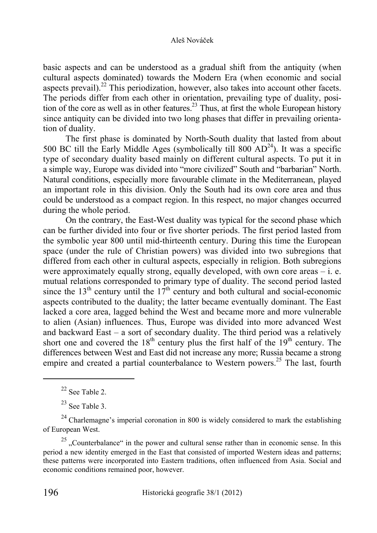basic aspects and can be understood as a gradual shift from the antiquity (when cultural aspects dominated) towards the Modern Era (when economic and social aspects prevail).<sup>22</sup> This periodization, however, also takes into account other facets. The periods differ from each other in orientation, prevailing type of duality, position of the core as well as in other features.<sup>23</sup> Thus, at first the whole European history since antiquity can be divided into two long phases that differ in prevailing orientation of duality.

The first phase is dominated by North-South duality that lasted from about 500 BC till the Early Middle Ages (symbolically till  $800$   $AD^{24}$ ). It was a specific type of secondary duality based mainly on different cultural aspects. To put it in a simple way, Europe was divided into "more civilized" South and "barbarian" North. Natural conditions, especially more favourable climate in the Mediterranean, played an important role in this division. Only the South had its own core area and thus could be understood as a compact region. In this respect, no major changes occurred during the whole period.

On the contrary, the East-West duality was typical for the second phase which can be further divided into four or five shorter periods. The first period lasted from the symbolic year 800 until mid-thirteenth century. During this time the European space (under the rule of Christian powers) was divided into two subregions that differed from each other in cultural aspects, especially in religion. Both subregions were approximately equally strong, equally developed, with own core areas  $-$  i. e. mutual relations corresponded to primary type of duality. The second period lasted since the  $13<sup>th</sup>$  century until the  $17<sup>th</sup>$  century and both cultural and social-economic aspects contributed to the duality; the latter became eventually dominant. The East lacked a core area, lagged behind the West and became more and more vulnerable to alien (Asian) influences. Thus, Europe was divided into more advanced West and backward East – a sort of secondary duality. The third period was a relatively short one and covered the  $18<sup>th</sup>$  century plus the first half of the  $19<sup>th</sup>$  century. The differences between West and East did not increase any more; Russia became a strong empire and created a partial counterbalance to Western powers.<sup>25</sup> The last, fourth

 $22$  See Table 2.

 $23$  See Table 3.

 $24$  Charlemagne's imperial coronation in 800 is widely considered to mark the establishing of European West.

 $25$ , Counterbalance" in the power and cultural sense rather than in economic sense. In this period a new identity emerged in the East that consisted of imported Western ideas and patterns; these patterns were incorporated into Eastern traditions, often influenced from Asia. Social and economic conditions remained poor, however.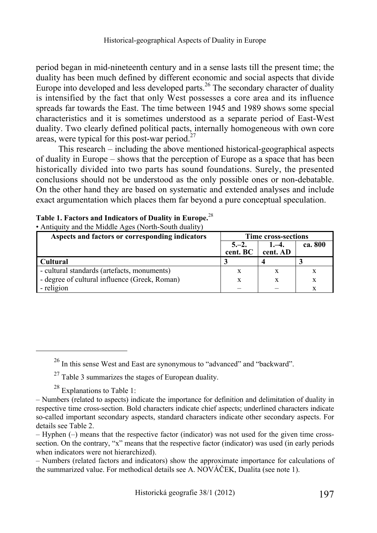period began in mid-nineteenth century and in a sense lasts till the present time; the duality has been much defined by different economic and social aspects that divide Europe into developed and less developed parts.<sup>26</sup> The secondary character of duality is intensified by the fact that only West possesses a core area and its influence spreads far towards the East. The time between 1945 and 1989 shows some special characteristics and it is sometimes understood as a separate period of East-West duality. Two clearly defined political pacts, internally homogeneous with own core areas, were typical for this post-war period. $27$ 

This research – including the above mentioned historical-geographical aspects of duality in Europe – shows that the perception of Europe as a space that has been historically divided into two parts has sound foundations. Surely, the presented conclusions should not be understood as the only possible ones or non-debatable. On the other hand they are based on systematic and extended analyses and include exact argumentation which places them far beyond a pure conceptual speculation.

| Aspects and factors or corresponding indicators | <b>Time cross-sections</b> |                      |         |  |  |
|-------------------------------------------------|----------------------------|----------------------|---------|--|--|
|                                                 | $5 - 2.$<br>cent. BC       | $1, -4.$<br>cent. AD | ca. 800 |  |  |
| Cultural                                        |                            |                      |         |  |  |
| - cultural standards (artefacts, monuments)     |                            |                      |         |  |  |
| - degree of cultural influence (Greek, Roman)   |                            | X                    | x       |  |  |
| - religion                                      |                            |                      |         |  |  |

| Table 1. Factors and Indicators of Duality in Europe. <sup>28</sup> |
|---------------------------------------------------------------------|
| $\bullet$ Antiquity and the Middle Ages (North-South duality)       |

 $27$  Table 3 summarizes the stages of European duality.

 $^{28}$  Explanations to Table 1:

 $\overline{a}$ 

– Numbers (related factors and indicators) show the approximate importance for calculations of the summarized value. For methodical details see A. NOVÁČEK, Dualita (see note 1).

<sup>26</sup> In this sense West and East are synonymous to "advanced" and "backward".

<sup>–</sup> Numbers (related to aspects) indicate the importance for definition and delimitation of duality in respective time cross-section. Bold characters indicate chief aspects; underlined characters indicate so-called important secondary aspects, standard characters indicate other secondary aspects. For details see Table 2.

<sup>–</sup> Hyphen (–) means that the respective factor (indicator) was not used for the given time crosssection. On the contrary, "x" means that the respective factor (indicator) was used (in early periods when indicators were not hierarchized).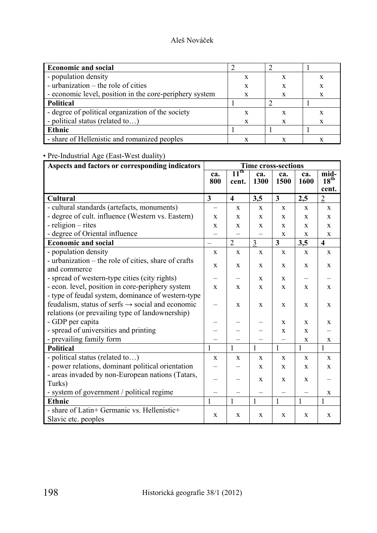| <b>Economic and social</b>                              |   |  |
|---------------------------------------------------------|---|--|
| - population density                                    |   |  |
| - urbanization – the role of cities                     |   |  |
| - economic level, position in the core-periphery system | X |  |
| Political                                               |   |  |
| - degree of political organization of the society       |   |  |
| - political status (related to)                         |   |  |
| Ethnic                                                  |   |  |
| - share of Hellenistic and romanized peoples            |   |  |

## • Pre-Industrial Age (East-West duality)

| Aspects and factors or corresponding indicators              | <b>Time cross-sections</b> |                                      |                    |              |              |                          |
|--------------------------------------------------------------|----------------------------|--------------------------------------|--------------------|--------------|--------------|--------------------------|
|                                                              | ca.<br>800                 | $\overline{11}^{\text{th}}$<br>cent. | ca.<br><b>1300</b> | ca.<br>1500  | ca.<br>1600  | mid-<br>18 <sup>th</sup> |
|                                                              |                            |                                      |                    |              |              | cent.                    |
| <b>Cultural</b>                                              | $\overline{\mathbf{3}}$    | $\overline{\mathbf{4}}$              | 3,5                | $\mathbf{3}$ | 2,5          | $\overline{2}$           |
| - cultural standards (artefacts, monuments)                  |                            | $\mathbf X$                          | $\mathbf{X}$       | $\mathbf{X}$ | X            | $\mathbf{X}$             |
| - degree of cult. influence (Western vs. Eastern)            | X                          | X                                    | X                  | X            | X            | X                        |
| - religion – rites                                           | X                          | X                                    | X                  | X            | X            | $\mathbf{X}$             |
| - degree of Oriental influence                               |                            |                                      |                    | $\mathbf X$  | $\mathbf X$  | X                        |
| <b>Economic and social</b>                                   |                            | $\overline{2}$                       | $\overline{3}$     | $\mathbf{3}$ | 3,5          | $\overline{\mathbf{4}}$  |
| - population density                                         | $\mathbf X$                | X                                    | X                  | $\mathbf X$  | $\mathbf{X}$ | X                        |
| - urbanization – the role of cities, share of crafts         | $\mathbf{X}$               | X                                    | X                  | X            | $\mathbf{X}$ | $\mathbf{x}$             |
| and commerce                                                 |                            |                                      |                    |              |              |                          |
| - spread of western-type cities (city rights)                |                            |                                      | X                  | X            |              |                          |
| - econ. level, position in core-periphery system             | $\mathbf{X}$               | X                                    | X                  | X            | X            | $\mathbf{X}$             |
| - type of feudal system, dominance of western-type           |                            |                                      |                    |              |              |                          |
| feudalism, status of serfs $\rightarrow$ social and economic |                            | X                                    | X                  | X            | $\mathbf{X}$ | X                        |
| relations (or prevailing type of landownership)              |                            |                                      |                    |              |              |                          |
| - GDP per capita                                             |                            |                                      |                    | $\mathbf{X}$ | $\mathbf{x}$ | $\mathbf{X}$             |
| - spread of universities and printing                        |                            |                                      |                    | X            | X            |                          |
| - prevailing family form                                     |                            |                                      |                    |              | $\mathbf X$  | X                        |
| <b>Political</b>                                             | 1                          | 1                                    | $\mathbf{1}$       | $\mathbf{1}$ | $\mathbf{1}$ | $\mathbf{1}$             |
| - political status (related to)                              | $\mathbf X$                | X                                    | X                  | $\mathbf X$  | $\mathbf{X}$ | $\mathbf{x}$             |
| - power relations, dominant political orientation            |                            |                                      | X                  | X            | $\mathbf X$  | $\mathbf X$              |
| - areas invaded by non-European nations (Tatars,             |                            |                                      | X                  | X            | X            |                          |
| Turks)                                                       |                            |                                      |                    |              |              |                          |
| - system of government / political regime                    |                            |                                      |                    |              |              | X                        |
| <b>Ethnic</b>                                                | $\mathbf{1}$               | $\mathbf{1}$                         | $\mathbf{1}$       | $\mathbf{1}$ | $\mathbf{1}$ | $\mathbf{1}$             |
| - share of Latin+ Germanic vs. Hellenistic+                  | $\mathbf X$                | X                                    | $\mathbf X$        | $\mathbf X$  | $\mathbf X$  | $\mathbf X$              |
| Slavic etc. peoples                                          |                            |                                      |                    |              |              |                          |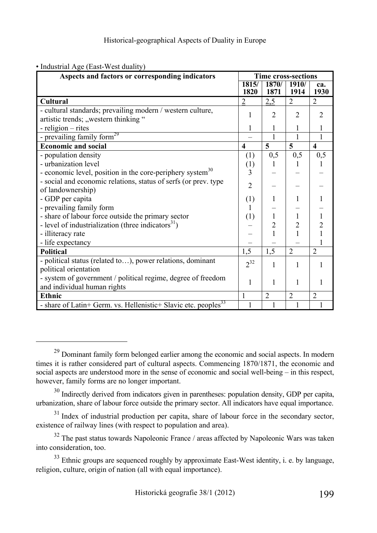| Aspects and factors or corresponding indicators                            |                         | <b>Time cross-sections</b> |                |                         |  |  |  |
|----------------------------------------------------------------------------|-------------------------|----------------------------|----------------|-------------------------|--|--|--|
|                                                                            | 1815/                   | 1870/                      | 1910/          | ca.                     |  |  |  |
|                                                                            | 1820                    | 1871                       | 1914           | 1930                    |  |  |  |
| <b>Cultural</b>                                                            | $\overline{2}$          | 2,5                        | $\overline{2}$ | $\overline{2}$          |  |  |  |
| - cultural standards; prevailing modern / western culture,                 |                         | $\mathfrak{D}$             | $\mathfrak{D}$ | $\mathfrak{D}$          |  |  |  |
| artistic trends; "western thinking"                                        |                         |                            |                |                         |  |  |  |
| - religion – rites                                                         |                         |                            |                |                         |  |  |  |
| - prevailing family form <sup>29</sup>                                     |                         |                            |                |                         |  |  |  |
| <b>Economic and social</b>                                                 | $\overline{\mathbf{4}}$ | 5                          | 5              | $\overline{\mathbf{4}}$ |  |  |  |
| - population density                                                       | (1)                     | 0,5                        | 0,5            | 0,5                     |  |  |  |
| - urbanization level                                                       | (1)                     | 1                          | 1              |                         |  |  |  |
| - economic level, position in the core-periphery system <sup>30</sup>      | 3                       |                            |                |                         |  |  |  |
| - social and economic relations, status of serfs (or prev. type            | $\overline{2}$          |                            |                |                         |  |  |  |
| of landownership)                                                          |                         |                            |                |                         |  |  |  |
| - GDP per capita                                                           | (1)                     |                            |                |                         |  |  |  |
| - prevailing family form                                                   | $\mathbf{I}$            |                            |                |                         |  |  |  |
| - share of labour force outside the primary sector                         | (1)                     | 1                          |                |                         |  |  |  |
| - level of industrialization (three indicators <sup>31</sup> )             |                         | $\overline{2}$             | $\overline{2}$ | $\overline{2}$          |  |  |  |
| - illiteracy rate                                                          |                         |                            |                |                         |  |  |  |
| - life expectancy                                                          |                         |                            |                |                         |  |  |  |
| <b>Political</b>                                                           | 1,5                     | 1,5                        | $\overline{2}$ | $\overline{2}$          |  |  |  |
| - political status (related to), power relations, dominant                 | $2^{32}$                |                            |                |                         |  |  |  |
| political orientation                                                      |                         |                            |                |                         |  |  |  |
| - system of government / political regime, degree of freedom               |                         | 1                          | 1              |                         |  |  |  |
| and individual human rights                                                |                         |                            |                |                         |  |  |  |
| <b>Ethnic</b>                                                              | 1                       | $\overline{2}$             | $\overline{2}$ | $\overline{2}$          |  |  |  |
| - share of Latin+ Germ. vs. Hellenistic+ Slavic etc. peoples <sup>33</sup> |                         |                            |                |                         |  |  |  |

• Industrial Age (East-West duality)

<sup>&</sup>lt;sup>29</sup> Dominant family form belonged earlier among the economic and social aspects. In modern times it is rather considered part of cultural aspects. Commencing 1870/1871, the economic and social aspects are understood more in the sense of economic and social well-being – in this respect, however, family forms are no longer important.

<sup>&</sup>lt;sup>30</sup> Indirectly derived from indicators given in parentheses: population density, GDP per capita, urbanization, share of labour force outside the primary sector. All indicators have equal importance.

<sup>&</sup>lt;sup>31</sup> Index of industrial production per capita, share of labour force in the secondary sector, existence of railway lines (with respect to population and area).

 $32$  The past status towards Napoleonic France / areas affected by Napoleonic Wars was taken into consideration, too.

 $33$  Ethnic groups are sequenced roughly by approximate East-West identity, i. e. by language, religion, culture, origin of nation (all with equal importance).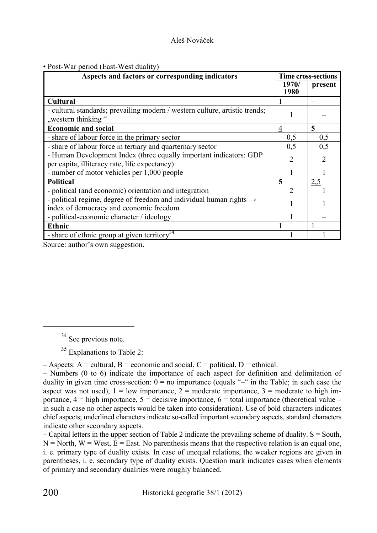|  |  |  | • Post-War period (East-West duality) |  |
|--|--|--|---------------------------------------|--|
|--|--|--|---------------------------------------|--|

| Aspects and factors or corresponding indicators                                                                            | <b>Time cross-sections</b> |                |  |
|----------------------------------------------------------------------------------------------------------------------------|----------------------------|----------------|--|
|                                                                                                                            | 1970/<br>1980              | present        |  |
| Cultural                                                                                                                   |                            |                |  |
| - cultural standards; prevailing modern / western culture, artistic trends;<br>"western thinking"                          |                            |                |  |
| <b>Economic and social</b>                                                                                                 | 4                          | 5              |  |
| - share of labour force in the primary sector                                                                              | 0,5                        | 0,5            |  |
| - share of labour force in tertiary and quarternary sector                                                                 | 0,5                        | 0,5            |  |
| - Human Development Index (three equally important indicators: GDP<br>per capita, illiteracy rate, life expectancy)        | $\mathfrak{D}$             | $\mathfrak{D}$ |  |
| - number of motor vehicles per 1,000 people                                                                                |                            |                |  |
| <b>Political</b>                                                                                                           | 5                          | 2,5            |  |
| - political (and economic) orientation and integration                                                                     | っ                          |                |  |
| - political regime, degree of freedom and individual human rights $\rightarrow$<br>index of democracy and economic freedom |                            |                |  |
| - political-economic character / ideology                                                                                  |                            |                |  |
| <b>Ethnic</b>                                                                                                              |                            |                |  |
| - share of ethnic group at given territory <sup>34</sup>                                                                   |                            |                |  |

Source: author's own suggestion.

<sup>34</sup> See previous note.

<sup>35</sup> Explanations to Table 2:

 $-$  Aspects: A = cultural, B = economic and social, C = political, D = ethnical.

– Numbers (0 to 6) indicate the importance of each aspect for definition and delimitation of duality in given time cross-section:  $0 = no$  importance (equals "–" in the Table; in such case the aspect was not used),  $1 =$  low importance,  $2 =$  moderate importance,  $3 =$  moderate to high importance,  $4 =$  high importance,  $5 =$  decisive importance,  $6 =$  total importance (theoretical value – in such a case no other aspects would be taken into consideration). Use of bold characters indicates chief aspects; underlined characters indicate so-called important secondary aspects, standard characters indicate other secondary aspects.

 $-$  Capital letters in the upper section of Table 2 indicate the prevailing scheme of duality.  $S =$  South,  $N =$  North,  $W =$  West,  $E =$  East. No parenthesis means that the respective relation is an equal one, i. e. primary type of duality exists. In case of unequal relations, the weaker regions are given in parentheses, i. e. secondary type of duality exists. Question mark indicates cases when elements of primary and secondary dualities were roughly balanced.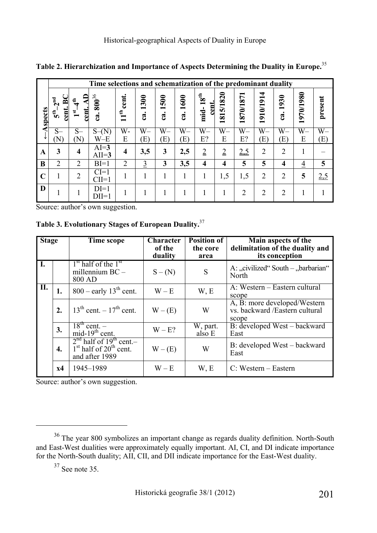|                | Time selections and schematization of the predominant duality |                                |                            |                           |                              |                                              |                                    |                                |                                          |                      |                                      |                         |                                      |            |
|----------------|---------------------------------------------------------------|--------------------------------|----------------------------|---------------------------|------------------------------|----------------------------------------------|------------------------------------|--------------------------------|------------------------------------------|----------------------|--------------------------------------|-------------------------|--------------------------------------|------------|
| <b>Aspects</b> | 2 <sup>nd</sup><br>≊<br>cent.<br>$\epsilon$                   | €<br>cent.<br>$\sum_{i=1}^{n}$ | $\mathbf{800}^{36}$<br>ca. | cent.<br>$11^{\text{th}}$ | 1300<br>$\mathbf{\tilde{z}}$ | 500<br>$\blacksquare$<br>$\ddot{\mathbf{a}}$ | <b>1600</b><br>$\ddot{\mathbf{a}}$ | $18^{\rm th}$<br>cent.<br>mid- | 5/1820<br>81<br>$\overline{\phantom{0}}$ | 1870/1871            | 910/1914<br>$\overline{\phantom{0}}$ | 1930<br>$c\mathbf{a}$ . | 970/1980<br>$\overline{\phantom{0}}$ | present    |
|                | $S-$<br>'N)                                                   | $S-$<br>N)                     | $S-N$<br>$W-E$             | W-<br>E                   | $\overline{W}$<br>E)         | $\overline{W}$<br>$\left( \mathrm{E}\right)$ | W–<br>$\rm(E)$                     | $\overline{W}$<br>E?           | $\overline{W}$<br>E                      | $\overline{W}$<br>E? | $\overline{W}$<br>(E)                | $\overline{W}$<br>E)    | $\overline{W}$<br>E                  | $W-$<br>E) |
| $\mathbf A$    | 3                                                             | $\overline{\mathbf{4}}$        | $AI=3$<br>$AII=3$          | $\overline{\mathbf{4}}$   | 3,5                          | 3                                            | 2,5                                | $\overline{2}$                 | $\overline{2}$                           | 2,5                  | $\overline{2}$                       | $\overline{2}$          |                                      |            |
| B              | $\overline{2}$                                                | $\overline{2}$                 | $BI=1$                     | $\overline{2}$            | $\overline{3}$               | 3                                            | 3,5                                | $\overline{\mathbf{4}}$        | 4                                        | 5                    | 5                                    | 4                       | $\overline{4}$                       | 5          |
|                |                                                               | $\overline{2}$                 | $CI=1$<br>$CII=1$          |                           |                              |                                              |                                    |                                | 1,5                                      | 1,5                  | $\overline{2}$                       | $\overline{2}$          | 5                                    | 2,5        |
| D              |                                                               |                                | $DI=1$<br>$DII=1$          |                           |                              |                                              |                                    |                                |                                          | $\overline{2}$       | $\overline{2}$                       | $\overline{2}$          |                                      |            |

**Table 2. Hierarchization and Importance of Aspects Determining the Duality in Europe.**<sup>35</sup>

Source: author's own suggestion.

**Table 3. Evolutionary Stages of European Duality.**<sup>37</sup>

| <b>Stage</b> |                  | Time scope                                                                            | Character<br>of the<br>duality | <b>Position of</b><br>the core<br>area | Main aspects of the<br>delimitation of the duality and<br>its conception |
|--------------|------------------|---------------------------------------------------------------------------------------|--------------------------------|----------------------------------------|--------------------------------------------------------------------------|
| I.           |                  | $1st$ half of the $1st$<br>millennium $BC -$<br>800 AD                                | $S - (N)$                      | S                                      | A: "civilized" South – "barbarian"<br>North                              |
| II.          | 1.               | $800$ – early 13 <sup>th</sup> cent.                                                  | $W - E$                        | W, E                                   | A: Western – Eastern cultural<br>scope                                   |
|              | 2.               | $13^{th}$ cent. $-17^{th}$ cent.                                                      | $W - (E)$                      | W                                      | A, B: more developed/Western<br>vs. backward /Eastern cultural<br>scope  |
|              | 3.               | $\frac{18^{\text{th}} \text{ cent.}}{}$<br>mid- $19th$ cent.                          | $W - E?$                       | W, part.<br>also E                     | B: developed West – backward<br>East                                     |
|              | $\overline{4}$ . | $2nd$ half of 19 <sup>th</sup> cent.-<br>$1st$ half of $20th$ cent.<br>and after 1989 | $W - (E)$                      | W                                      | B: developed West – backward<br>East                                     |
|              | x4               | 1945-1989                                                                             | $W - E$                        | W, E                                   | $C: Western - Eastern$                                                   |

Source: author's own suggestion.

<sup>36</sup> The year 800 symbolizes an important change as regards duality definition. North-South and East-West dualities were approximately equally important. AI, CI, and DI indicate importance for the North-South duality; AII, CII, and DII indicate importance for the East-West duality.

 $37$  See note 35.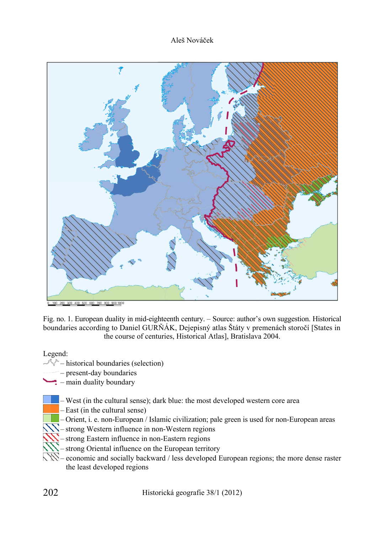

Fig. no. 1. European duality in mid-eighteenth century. – Source: author's own suggestion. Historical boundaries according to Daniel GURŇÁK, Dejepisný atlas Štáty v premenách storočí [States in the course of centuries, Historical Atlas], Bratislava 2004.

Legend:

- $\sqrt[n]{ }$  historical boundaries (selection)
	- present-day boundaries
	- $\therefore$  main duality boundary
		- West (in the cultural sense); dark blue: the most developed western core area
		- East (in the cultural sense)
		- Orient, i. e. non-European / Islamic civilization; pale green is used for non-European areas
	- $\mathbb{N}$  strong Western influence in non-Western regions
		- strong Eastern influence in non-Eastern regions
	- strong Oriental influence on the European territory
	- economic and socially backward / less developed European regions; the more dense raster the least developed regions

202 Historická geografie 38/1 (2012)